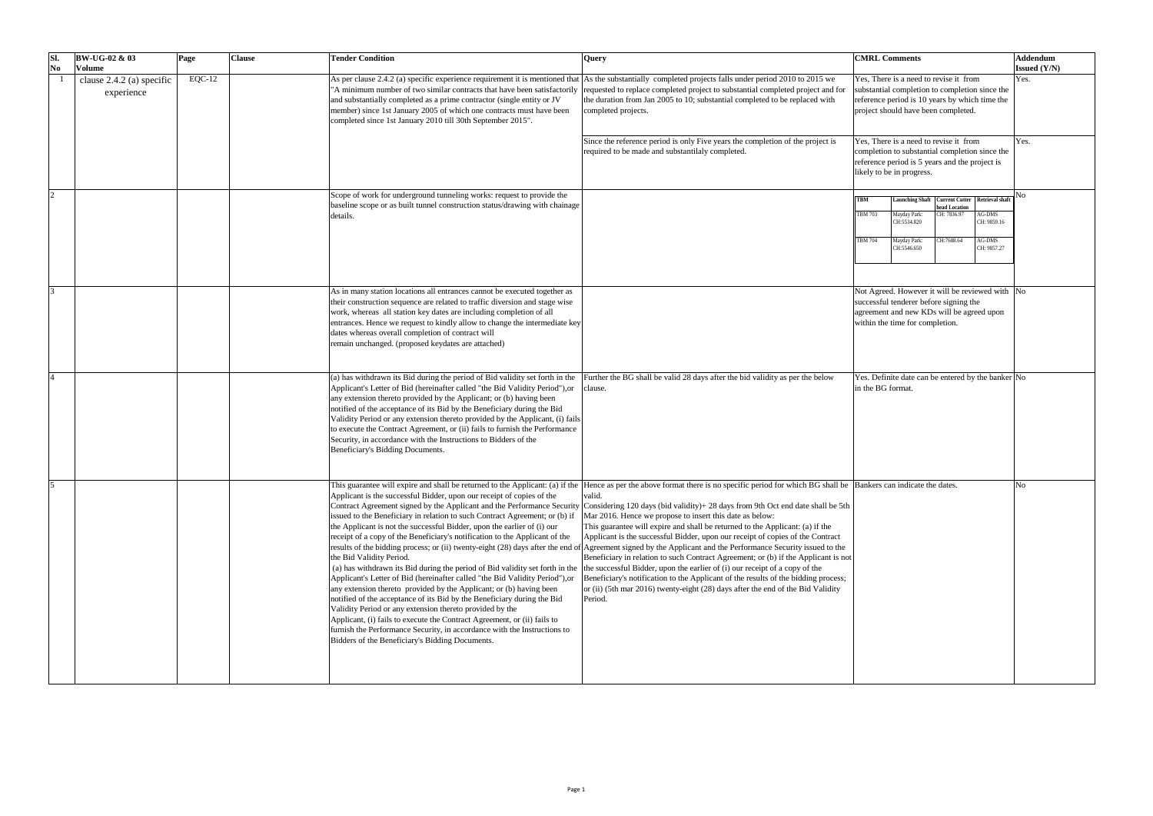| SI.<br>N <sub>0</sub> | $BW-UG-02 \& 03$<br><b>Volume</b>       | Page     | <b>Clause</b> | <b>Tender Condition</b>                                                                                                                                                                                                                                                                                                                                                                                                                                                                                                                                                                                                                                                                                                                                                                                                                                                                                                                                                                                         | <b>Query</b>                                                                                                                                                                                                                                                                                                                                                                                                                                                                                                                                                                                                                                                                                                                                                                                                                                                                                                                                                                                                                               | <b>CMRL Comments</b>                                                                                                                                                                                                                                               | Addendum<br><b>Issued</b> (Y/N) |
|-----------------------|-----------------------------------------|----------|---------------|-----------------------------------------------------------------------------------------------------------------------------------------------------------------------------------------------------------------------------------------------------------------------------------------------------------------------------------------------------------------------------------------------------------------------------------------------------------------------------------------------------------------------------------------------------------------------------------------------------------------------------------------------------------------------------------------------------------------------------------------------------------------------------------------------------------------------------------------------------------------------------------------------------------------------------------------------------------------------------------------------------------------|--------------------------------------------------------------------------------------------------------------------------------------------------------------------------------------------------------------------------------------------------------------------------------------------------------------------------------------------------------------------------------------------------------------------------------------------------------------------------------------------------------------------------------------------------------------------------------------------------------------------------------------------------------------------------------------------------------------------------------------------------------------------------------------------------------------------------------------------------------------------------------------------------------------------------------------------------------------------------------------------------------------------------------------------|--------------------------------------------------------------------------------------------------------------------------------------------------------------------------------------------------------------------------------------------------------------------|---------------------------------|
|                       | clause 2.4.2 (a) specific<br>experience | $EQC-12$ |               | and substantially completed as a prime contractor (single entity or JV<br>member) since 1st January 2005 of which one contracts must have been<br>completed since 1st January 2010 till 30th September 2015".                                                                                                                                                                                                                                                                                                                                                                                                                                                                                                                                                                                                                                                                                                                                                                                                   | As per clause 2.4.2 (a) specific experience requirement it is mentioned that $ A_s $ the substantially completed projects falls under period 2010 to 2015 we<br>A minimum number of two similar contracts that have been satisfactorily requested to replace completed project to substantial completed project and for<br>the duration from Jan 2005 to 10; substantial completed to be replaced with<br>completed projects.                                                                                                                                                                                                                                                                                                                                                                                                                                                                                                                                                                                                              | Yes, There is a need to revise it from<br>substantial completion to completion since the<br>reference period is 10 years by which time the<br>project should have been completed.                                                                                  | Yes.                            |
|                       |                                         |          |               |                                                                                                                                                                                                                                                                                                                                                                                                                                                                                                                                                                                                                                                                                                                                                                                                                                                                                                                                                                                                                 | Since the reference period is only Five years the completion of the project is<br>required to be made and substantilaly completed.                                                                                                                                                                                                                                                                                                                                                                                                                                                                                                                                                                                                                                                                                                                                                                                                                                                                                                         | Yes, There is a need to revise it from<br>completion to substantial completion since the<br>reference period is 5 years and the project is<br>likely to be in progress.                                                                                            | Yes.                            |
|                       |                                         |          |               | Scope of work for underground tunneling works: request to provide the<br>baseline scope or as built tunnel construction status/drawing with chainage<br>details.                                                                                                                                                                                                                                                                                                                                                                                                                                                                                                                                                                                                                                                                                                                                                                                                                                                |                                                                                                                                                                                                                                                                                                                                                                                                                                                                                                                                                                                                                                                                                                                                                                                                                                                                                                                                                                                                                                            | Launching Shaft   Current Cutter   Retrieval shaft<br><b>TBM</b><br>head Location<br>CH: 7836.97<br>AG-DMS<br><b>TBM 703</b><br>Mayday Park:<br>CH: 9859.16<br>CH:5534.820<br>CH:7688.64<br>AG-DMS<br><b>TBM 704</b><br>Mayday Park:<br>CH:5546.650<br>CH: 9857.27 |                                 |
|                       |                                         |          |               | As in many station locations all entrances cannot be executed together as<br>their construction sequence are related to traffic diversion and stage wise<br>work, whereas all station key dates are including completion of all<br>entrances. Hence we request to kindly allow to change the intermediate key<br>dates whereas overall completion of contract will<br>remain unchanged. (proposed keydates are attached)                                                                                                                                                                                                                                                                                                                                                                                                                                                                                                                                                                                        |                                                                                                                                                                                                                                                                                                                                                                                                                                                                                                                                                                                                                                                                                                                                                                                                                                                                                                                                                                                                                                            | Not Agreed. However it will be reviewed with  No<br>successful tenderer before signing the<br>agreement and new KDs will be agreed upon<br>within the time for completion.                                                                                         |                                 |
|                       |                                         |          |               | (a) has withdrawn its Bid during the period of Bid validity set forth in the<br>Applicant's Letter of Bid (hereinafter called "the Bid Validity Period"), or<br>any extension thereto provided by the Applicant; or (b) having been<br>notified of the acceptance of its Bid by the Beneficiary during the Bid<br>Validity Period or any extension thereto provided by the Applicant, (i) fails<br>to execute the Contract Agreement, or (ii) fails to furnish the Performance<br>Security, in accordance with the Instructions to Bidders of the<br>Beneficiary's Bidding Documents.                                                                                                                                                                                                                                                                                                                                                                                                                           | Further the BG shall be valid 28 days after the bid validity as per the below<br>clause.                                                                                                                                                                                                                                                                                                                                                                                                                                                                                                                                                                                                                                                                                                                                                                                                                                                                                                                                                   | Yes. Definite date can be entered by the banker No<br>in the BG format.                                                                                                                                                                                            |                                 |
|                       |                                         |          |               | Applicant is the successful Bidder, upon our receipt of copies of the<br>issued to the Beneficiary in relation to such Contract Agreement; or (b) if<br>the Applicant is not the successful Bidder, upon the earlier of (i) our<br>receipt of a copy of the Beneficiary's notification to the Applicant of the<br>the Bid Validity Period.<br>(a) has withdrawn its Bid during the period of Bid validity set forth in the the successful Bidder, upon the earlier of (i) our receipt of a copy of the<br>Applicant's Letter of Bid (hereinafter called "the Bid Validity Period"), or<br>any extension thereto provided by the Applicant; or (b) having been<br>notified of the acceptance of its Bid by the Beneficiary during the Bid<br>Validity Period or any extension thereto provided by the<br>Applicant, (i) fails to execute the Contract Agreement, or (ii) fails to<br>furnish the Performance Security, in accordance with the Instructions to<br>Bidders of the Beneficiary's Bidding Documents. | This guarantee will expire and shall be returned to the Applicant: (a) if the Hence as per the above format there is no specific period for which BG shall be Bankers can indicate the dates.<br>valid<br>Contract Agreement signed by the Applicant and the Performance Security Considering 120 days (bid validity)+ 28 days from 9th Oct end date shall be 5th<br>Mar 2016. Hence we propose to insert this date as below:<br>This guarantee will expire and shall be returned to the Applicant: (a) if the<br>Applicant is the successful Bidder, upon our receipt of copies of the Contract<br>results of the bidding process; or (ii) twenty-eight (28) days after the end of Agreement signed by the Applicant and the Performance Security issued to the<br>Beneficiary in relation to such Contract Agreement; or (b) if the Applicant is not<br>Beneficiary's notification to the Applicant of the results of the bidding process;<br>or (ii) (5th mar 2016) twenty-eight (28) days after the end of the Bid Validity<br>Period. |                                                                                                                                                                                                                                                                    |                                 |